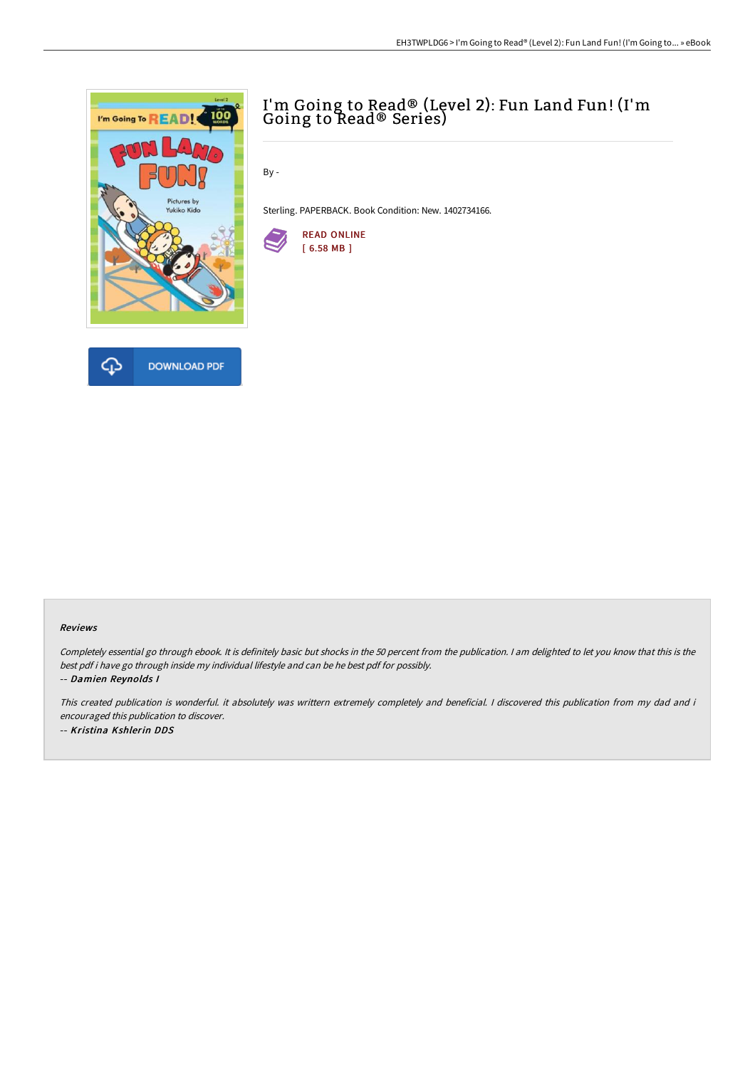

## I'm Going to Read® (Level 2): Fun Land Fun! (I'm Going to Read® Series)

By -

Sterling. PAPERBACK. Book Condition: New. 1402734166.



## Reviews

Completely essential go through ebook. It is definitely basic but shocks in the <sup>50</sup> percent from the publication. <sup>I</sup> am delighted to let you know that this is the best pdf i have go through inside my individual lifestyle and can be he best pdf for possibly.

-- Damien Reynolds I

This created publication is wonderful. it absolutely was writtern extremely completely and beneficial. I discovered this publication from my dad and i encouraged this publication to discover. -- Kristina Kshlerin DDS